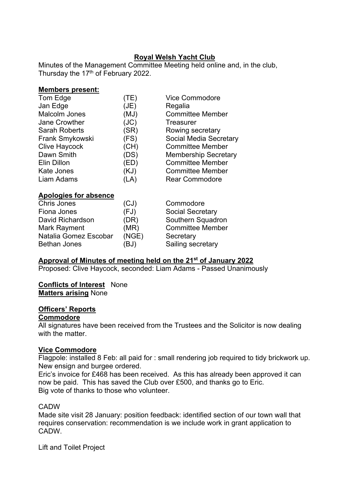## **Royal Welsh Yacht Club**

Minutes of the Management Committee Meeting held online and, in the club, Thursday the 17<sup>th</sup> of February 2022.

#### **Members present:**

| Tom Edge             | (TE) | <b>Vice Commodore</b>       |
|----------------------|------|-----------------------------|
| Jan Edge             | (JE) | Regalia                     |
| <b>Malcolm Jones</b> | (MJ) | <b>Committee Member</b>     |
| Jane Crowther        | (JC) | <b>Treasurer</b>            |
| <b>Sarah Roberts</b> | (SR) | Rowing secretary            |
| Frank Smykowski      | (FS) | Social Media Secretary      |
| <b>Clive Haycock</b> | (CH) | <b>Committee Member</b>     |
| Dawn Smith           | (DS) | <b>Membership Secretary</b> |
| Elin Dillon          | (ED) | <b>Committee Member</b>     |
| <b>Kate Jones</b>    | (KJ) | <b>Committee Member</b>     |
| Liam Adams           | (LA) | <b>Rear Commodore</b>       |
|                      |      |                             |

#### **Apologies for absence**

| Chris Jones           | (CJ)  | Commodore               |
|-----------------------|-------|-------------------------|
| Fiona Jones           | (FJ)  | <b>Social Secretary</b> |
| David Richardson      | (DR)  | Southern Squadron       |
| Mark Rayment          | (MR)  | <b>Committee Member</b> |
| Natalia Gomez Escobar | (NGE) | Secretary               |
| <b>Bethan Jones</b>   | (BJ)  | Sailing secretary       |

#### **Approval of Minutes of meeting held on the 21st of January 2022**

Proposed: Clive Haycock, seconded: Liam Adams - Passed Unanimously

#### **Conflicts of Interest** None

**Matters arising** None

#### **Officers' Reports**

## **Commodore**

All signatures have been received from the Trustees and the Solicitor is now dealing with the matter

#### **Vice Commodore**

Flagpole: installed 8 Feb: all paid for : small rendering job required to tidy brickwork up. New ensign and burgee ordered.

Eric's invoice for £468 has been received. As this has already been approved it can now be paid. This has saved the Club over £500, and thanks go to Eric. Big vote of thanks to those who volunteer.

#### **CADW**

Made site visit 28 January: position feedback: identified section of our town wall that requires conservation: recommendation is we include work in grant application to CADW.

Lift and Toilet Project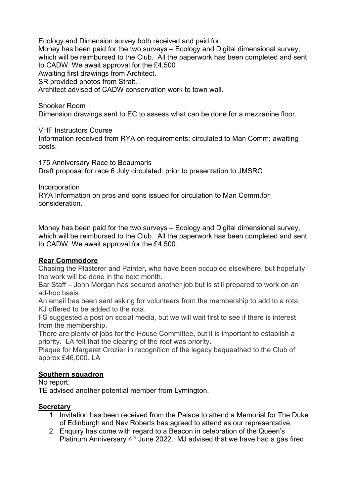Ecology and Dimension survey both received and paid for. Money has been paid for the two surveys – Ecology and Digital dimensional survey, which will be reimbursed to the Club. All the paperwork has been completed and sent to CADW. We await approval for the £4,500 Awaiting first drawings from Architect. SR provided photos from Strait. Architect advised of CADW conservation work to town wall.

Snooker Room Dimension drawings sent to EC to assess what can be done for a mezzanine floor.

VHF Instructors Course

Information received from RYA on requirements: circulated to Man Comm: awaiting costs.

175 Anniversary Race to Beaumaris Draft proposal for race 6 July circulated: prior to presentation to JMSRC

Incorporation RYA Information on pros and cons issued for circulation to Man Comm.for consideration.

Money has been paid for the two surveys – Ecology and Digital dimensional survey, which will be reimbursed to the Club. All the paperwork has been completed and sent to CADW. We await approval for the £4,500.

## **Rear Commodore**

Chasing the Plasterer and Painter, who have been occupied elsewhere, but hopefully the work will be done in the next month.

Bar Staff – John Morgan has secured another job but is still prepared to work on an ad-hoc basis.

An email has been sent asking for volunteers from the membership to add to a rota. KJ offered to be added to the rota.

FS suggested a post on social media, but we will wait first to see if there is interest from the membership.

There are plenty of jobs for the House Committee, but it is important to establish a priority. LA felt that the clearing of the roof was priority.

Plaque for Margaret Crozier in recognition of the legacy bequeathed to the Club of approx £46,000. LA

## **Southern squadron**

No report.

TE advised another potential member from Lymington.

## **Secretary**

- 1. Invitation has been received from the Palace to attend a Memorial for The Duke of Edinburgh and Nev Roberts has agreed to attend as our representative.
- 2. Enquiry has come with regard to a Beacon in celebration of the Queen's Platinum Anniversary  $4<sup>th</sup>$  June 2022. MJ advised that we have had a gas fired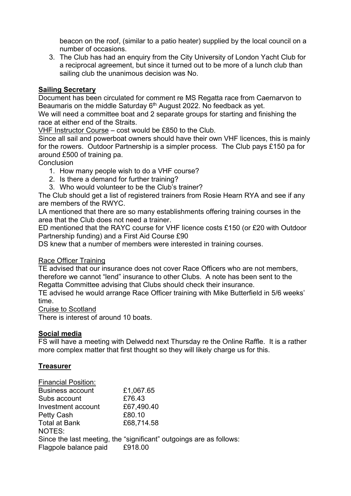beacon on the roof, (similar to a patio heater) supplied by the local council on a number of occasions.

3. The Club has had an enquiry from the City University of London Yacht Club for a reciprocal agreement, but since it turned out to be more of a lunch club than sailing club the unanimous decision was No.

## **Sailing Secretary**

Document has been circulated for comment re MS Regatta race from Caernarvon to Beaumaris on the middle Saturday 6<sup>th</sup> August 2022. No feedback as yet.

We will need a committee boat and 2 separate groups for starting and finishing the race at either end of the Straits.

VHF Instructor Course – cost would be £850 to the Club.

Since all sail and powerboat owners should have their own VHF licences, this is mainly for the rowers. Outdoor Partnership is a simpler process. The Club pays £150 pa for around £500 of training pa.

## **Conclusion**

- 1. How many people wish to do a VHF course?
- 2. Is there a demand for further training?
- 3. Who would volunteer to be the Club's trainer?

The Club should get a list of registered trainers from Rosie Hearn RYA and see if any are members of the RWYC.

LA mentioned that there are so many establishments offering training courses in the area that the Club does not need a trainer.

ED mentioned that the RAYC course for VHF licence costs £150 (or £20 with Outdoor Partnership funding) and a First Aid Course £90

DS knew that a number of members were interested in training courses.

## Race Officer Training

TE advised that our insurance does not cover Race Officers who are not members, therefore we cannot "lend" insurance to other Clubs. A note has been sent to the Regatta Committee advising that Clubs should check their insurance.

TE advised he would arrange Race Officer training with Mike Butterfield in 5/6 weeks' time.

Cruise to Scotland

There is interest of around 10 boats.

#### **Social media**

FS will have a meeting with Delwedd next Thursday re the Online Raffle. It is a rather more complex matter that first thought so they will likely charge us for this.

#### **Treasurer**

| <b>Financial Position:</b> |                                                                     |
|----------------------------|---------------------------------------------------------------------|
| <b>Business account</b>    | £1,067.65                                                           |
| Subs account               | £76.43                                                              |
| Investment account         | £67,490.40                                                          |
| Petty Cash                 | £80.10                                                              |
| <b>Total at Bank</b>       | £68,714.58                                                          |
| NOTES:                     |                                                                     |
|                            | Since the last meeting, the "significant" outgoings are as follows: |
| Flagpole balance paid      | £918.00                                                             |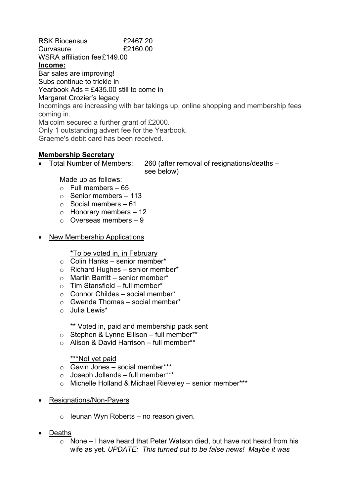RSK Biocensus £2467.20 Curvasure £2160.00 WSRA affiliation fee£149.00 **Income:** Bar sales are improving! Subs continue to trickle in Yearbook Ads = £435.00 still to come in Margaret Crozier's legacy Incomings are increasing with bar takings up, online shopping and membership fees coming in. Malcolm secured a further grant of £2000. Only 1 outstanding advert fee for the Yearbook. Graeme's debit card has been received.

## **Membership Secretary**

• Total Number of Members: 260 (after removal of resignations/deaths – see below)

Made up as follows:

- $\circ$  Full members 65
- $\circ$  Senior members 113
- $\circ$  Social members 61
- o Honorary members 12
- o Overseas members 9
- New Membership Applications

#### \*To be voted in, in February

- $\circ$  Colin Hanks senior member\*
- $\circ$  Richard Hughes senior member\*
- $\circ$  Martin Barritt senior member\*
- $\circ$  Tim Stansfield full member\*
- $\circ$  Connor Childes social member\*
- $\circ$  Gwenda Thomas social member\*
- o Julia Lewis\*

#### \*\* Voted in, paid and membership pack sent

- o Stephen & Lynne Ellison full member\*\*
- o Alison & David Harrison full member\*\*

## \*\*\*Not yet paid

- $\circ$  Gavin Jones social member\*\*\*
- $\circ$  Joseph Jollands full member\*\*\*
- o Michelle Holland & Michael Rieveley senior member\*\*\*
- Resignations/Non-Payers
	- $\circ$  leunan Wyn Roberts no reason given.
- Deaths
	- o None I have heard that Peter Watson died, but have not heard from his wife as yet. *UPDATE: This turned out to be false news! Maybe it was*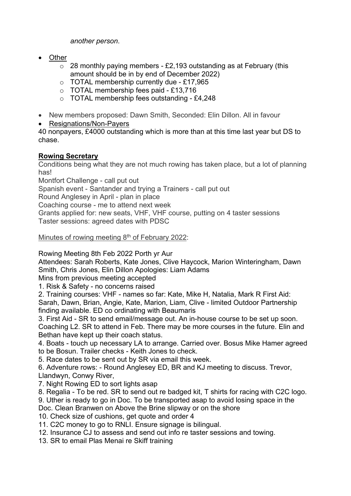*another person*.

- Other
	- $\circ$  28 monthly paying members £2,193 outstanding as at February (this amount should be in by end of December 2022)
	- o TOTAL membership currently due £17,965
	- o TOTAL membership fees paid £13,716
	- o TOTAL membership fees outstanding £4,248
- New members proposed: Dawn Smith, Seconded: Elin Dillon. All in favour
- Resignations/Non-Payers

40 nonpayers, £4000 outstanding which is more than at this time last year but DS to chase.

## **Rowing Secretary**

Conditions being what they are not much rowing has taken place, but a lot of planning has!

Montfort Challenge - call put out

Spanish event - Santander and trying a Trainers - call put out

Round Anglesey in April - plan in place

Coaching course - me to attend next week

Grants applied for: new seats, VHF, VHF course, putting on 4 taster sessions Taster sessions: agreed dates with PDSC

Minutes of rowing meeting 8<sup>th</sup> of February 2022:

Rowing Meeting 8th Feb 2022 Porth yr Aur

Attendees: Sarah Roberts, Kate Jones, Clive Haycock, Marion Winteringham, Dawn Smith, Chris Jones, Elin Dillon Apologies: Liam Adams

Mins from previous meeting accepted

1. Risk & Safety - no concerns raised

2. Training courses: VHF - names so far: Kate, Mike H, Natalia, Mark R First Aid: Sarah, Dawn, Brian, Angie, Kate, Marion, Liam, Clive - limited Outdoor Partnership finding available. ED co ordinating with Beaumaris

3. First Aid - SR to send email/message out. An in-house course to be set up soon. Coaching L2. SR to attend in Feb. There may be more courses in the future. Elin and Bethan have kept up their coach status.

4. Boats - touch up necessary LA to arrange. Carried over. Bosus Mike Hamer agreed to be Bosun. Trailer checks - Keith Jones to check.

5. Race dates to be sent out by SR via email this week.

6. Adventure rows: - Round Anglesey ED, BR and KJ meeting to discuss. Trevor, Llandwyn, Conwy River,

- 7. Night Rowing ED to sort lights asap
- 8. Regalia To be red. SR to send out re badged kit, T shirts for racing with C2C logo.

9. Uther is ready to go in Doc. To be transported asap to avoid losing space in the

Doc. Clean Branwen on Above the Brine slipway or on the shore

10. Check size of cushions, get quote and order 4

11. C2C money to go to RNLI. Ensure signage is bilingual.

- 12. Insurance CJ to assess and send out info re taster sessions and towing.
- 13. SR to email Plas Menai re Skiff training